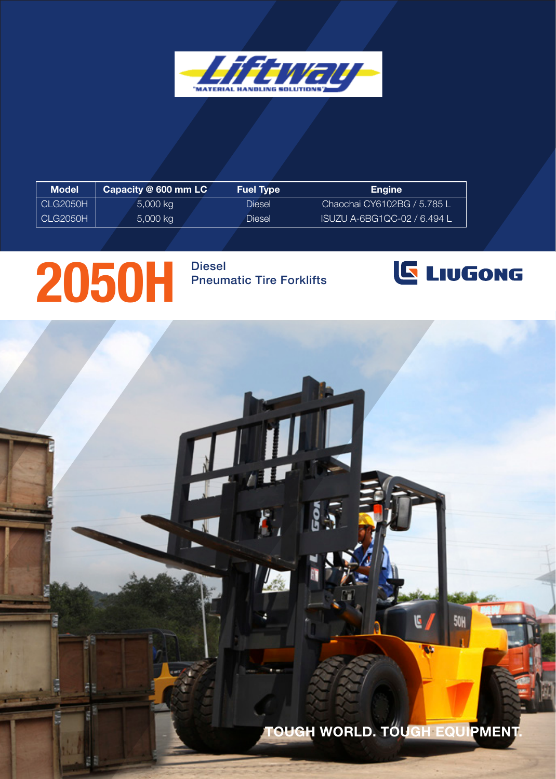

| Model    | Capacity @ 600 mm LC | <b>Fuel Type</b> | <b>Engine</b>               |
|----------|----------------------|------------------|-----------------------------|
| CLG2050H | $5,000$ kg           | Diesel           | Chaochai CY6102BG / 5.785 L |
| CLG2050H | 5,000 kg             | Diesel           | ISUZU A-6BG1QC-02 / 6.494 L |

## 2050H Pheum

Pneumatic Tire Forklifts